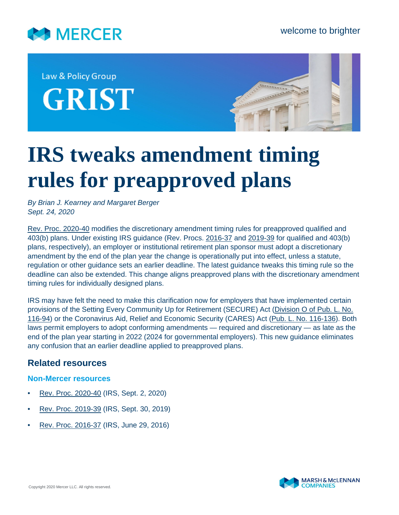

Law & Policy Group **GRIST** 



# **IRS tweaks amendment timing rules for preapproved plans**

*By Brian J. Kearney and Margaret Berger Sept. 24, 2020*

[Rev. Proc. 2020-40](https://www.irs.gov/pub/irs-drop/rp-20-40.pdf) modifies the discretionary amendment timing rules for preapproved qualified and 403(b) plans. Under existing IRS guidance (Rev. Procs. [2016-37](https://www.irs.gov/pub/irs-drop/rp-16-37.pdf) and [2019-39](https://www.irs.gov/pub/irs-drop/rp-19-39.pdf) for qualified and 403(b) plans, respectively), an employer or institutional retirement plan sponsor must adopt a discretionary amendment by the end of the plan year the change is operationally put into effect, unless a statute, regulation or other guidance sets an earlier deadline. The latest guidance tweaks this timing rule so the deadline can also be extended. This change aligns preapproved plans with the discretionary amendment timing rules for individually designed plans.

IRS may have felt the need to make this clarification now for employers that have implemented certain provisions of the Setting Every Community Up for Retirement (SECURE) Act ([Division O of Pub. L. No.](https://www.govinfo.gov/content/pkg/PLAW-116publ94/pdf/PLAW-116publ94.pdf#page=605) [116-94\)](https://www.govinfo.gov/content/pkg/PLAW-116publ94/pdf/PLAW-116publ94.pdf#page=605) or the Coronavirus Aid, Relief and Economic Security (CARES) Act ([Pub. L. No. 116-136](https://www.govinfo.gov/content/pkg/PLAW-116publ136/pdf/PLAW-116publ136.pdf)). Both laws permit employers to adopt conforming amendments — required and discretionary — as late as the end of the plan year starting in 2022 (2024 for governmental employers). This new guidance eliminates any confusion that an earlier deadline applied to preapproved plans.

## **Related resources**

#### **Non-Mercer resources**

- [Rev. Proc. 2020-40](https://www.irs.gov/pub/irs-drop/rp-20-40.pdf) (IRS, Sept. 2, 2020)
- [Rev. Proc. 2019-39](https://www.irs.gov/pub/irs-drop/rp-19-39.pdf) (IRS, Sept. 30, 2019)
- [Rev. Proc. 2016-37](https://www.irs.gov/pub/irs-drop/rp-16-37.pdf) (IRS, June 29, 2016)